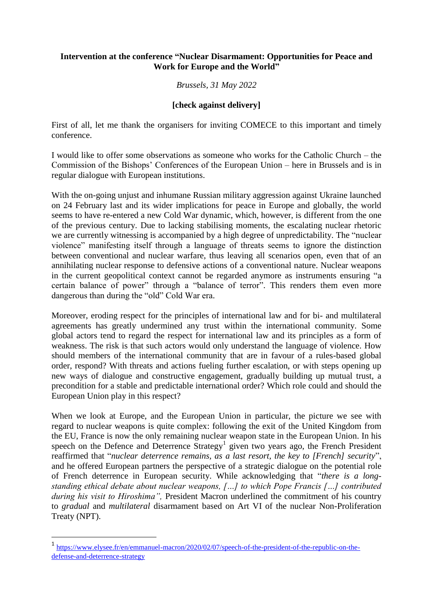## **Intervention at the conference "Nuclear Disarmament: Opportunities for Peace and Work for Europe and the World"**

*Brussels, 31 May 2022*

## **[check against delivery]**

First of all, let me thank the organisers for inviting COMECE to this important and timely conference.

I would like to offer some observations as someone who works for the Catholic Church – the Commission of the Bishops' Conferences of the European Union – here in Brussels and is in regular dialogue with European institutions.

With the on-going unjust and inhumane Russian military aggression against Ukraine launched on 24 February last and its wider implications for peace in Europe and globally, the world seems to have re-entered a new Cold War dynamic, which, however, is different from the one of the previous century. Due to lacking stabilising moments, the escalating nuclear rhetoric we are currently witnessing is accompanied by a high degree of unpredictability. The "nuclear violence" manifesting itself through a language of threats seems to ignore the distinction between conventional and nuclear warfare, thus leaving all scenarios open, even that of an annihilating nuclear response to defensive actions of a conventional nature. Nuclear weapons in the current geopolitical context cannot be regarded anymore as instruments ensuring "a certain balance of power" through a "balance of terror". This renders them even more dangerous than during the "old" Cold War era.

Moreover, eroding respect for the principles of international law and for bi- and multilateral agreements has greatly undermined any trust within the international community. Some global actors tend to regard the respect for international law and its principles as a form of weakness. The risk is that such actors would only understand the language of violence. How should members of the international community that are in favour of a rules-based global order, respond? With threats and actions fueling further escalation, or with steps opening up new ways of dialogue and constructive engagement, gradually building up mutual trust, a precondition for a stable and predictable international order? Which role could and should the European Union play in this respect?

When we look at Europe, and the European Union in particular, the picture we see with regard to nuclear weapons is quite complex: following the exit of the United Kingdom from the EU, France is now the only remaining nuclear weapon state in the European Union. In his speech on the Defence and Deterrence Strategy<sup>1</sup> given two years ago, the French President reaffirmed that "*nuclear deterrence remains, as a last resort, the key to [French] security*", and he offered European partners the perspective of a strategic dialogue on the potential role of French deterrence in European security. While acknowledging that "*there is a longstanding ethical debate about nuclear weapons, […] to which Pope Francis […] contributed during his visit to Hiroshima",* President Macron underlined the commitment of his country to *gradual* and *multilateral* disarmament based on Art VI of the nuclear Non-Proliferation Treaty (NPT).

 $\overline{a}$ 

<sup>&</sup>lt;sup>1</sup> [https://www.elysee.fr/en/emmanuel-macron/2020/02/07/speech-of-the-president-of-the-republic-on-the](https://www.elysee.fr/en/emmanuel-macron/2020/02/07/speech-of-the-president-of-the-republic-on-the-defense-and-deterrence-strategy)[defense-and-deterrence-strategy](https://www.elysee.fr/en/emmanuel-macron/2020/02/07/speech-of-the-president-of-the-republic-on-the-defense-and-deterrence-strategy)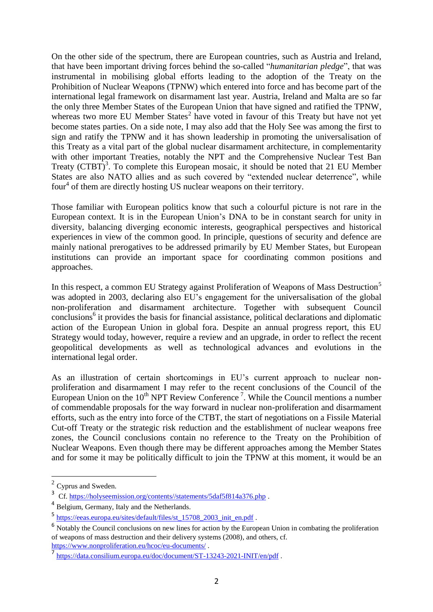On the other side of the spectrum, there are European countries, such as Austria and Ireland, that have been important driving forces behind the so-called "*humanitarian pledge*", that was instrumental in mobilising global efforts leading to the adoption of the Treaty on the Prohibition of Nuclear Weapons (TPNW) which entered into force and has become part of the international legal framework on disarmament last year. Austria, Ireland and Malta are so far the only three Member States of the European Union that have signed and ratified the TPNW, whereas two more EU Member States<sup>2</sup> have voted in favour of this Treaty but have not yet become states parties. On a side note, I may also add that the Holy See was among the first to sign and ratify the TPNW and it has shown leadership in promoting the universalisation of this Treaty as a vital part of the global nuclear disarmament architecture, in complementarity with other important Treaties, notably the NPT and the Comprehensive Nuclear Test Ban Treaty (CTBT)<sup>3</sup>. To complete this European mosaic, it should be noted that 21 EU Member States are also NATO allies and as such covered by "extended nuclear deterrence", while four<sup>4</sup> of them are directly hosting US nuclear weapons on their territory.

Those familiar with European politics know that such a colourful picture is not rare in the European context. It is in the European Union's DNA to be in constant search for unity in diversity, balancing diverging economic interests, geographical perspectives and historical experiences in view of the common good. In principle, questions of security and defence are mainly national prerogatives to be addressed primarily by EU Member States, but European institutions can provide an important space for coordinating common positions and approaches.

In this respect, a common EU Strategy against Proliferation of Weapons of Mass Destruction<sup>5</sup> was adopted in 2003, declaring also EU's engagement for the universalisation of the global non-proliferation and disarmament architecture. Together with subsequent Council conclusions<sup>6</sup> it provides the basis for financial assistance, political declarations and diplomatic action of the European Union in global fora. Despite an annual progress report, this EU Strategy would today, however, require a review and an upgrade, in order to reflect the recent geopolitical developments as well as technological advances and evolutions in the international legal order.

As an illustration of certain shortcomings in EU's current approach to nuclear nonproliferation and disarmament I may refer to the recent conclusions of the Council of the European Union on the  $10^{th}$  NPT Review Conference<sup>7</sup>. While the Council mentions a number of commendable proposals for the way forward in nuclear non-proliferation and disarmament efforts, such as the entry into force of the CTBT, the start of negotiations on a Fissile Material Cut-off Treaty or the strategic risk reduction and the establishment of nuclear weapons free zones, the Council conclusions contain no reference to the Treaty on the Prohibition of Nuclear Weapons. Even though there may be different approaches among the Member States and for some it may be politically difficult to join the TPNW at this moment, it would be an

 $\overline{a}$ 

<https://www.nonproliferation.eu/hcoc/eu-documents/> .

 $2$  Cyprus and Sweden.

<sup>&</sup>lt;sup>3</sup> Cf. [https://holyseemission.org/contents//statements/5daf5f814a376.php](https://holyseemission.org/contents/statements/5daf5f814a376.php).

<sup>&</sup>lt;sup>4</sup> Belgium, Germany, Italy and the Netherlands.

<sup>5</sup> [https://eeas.europa.eu/sites/default/files/st\\_15708\\_2003\\_init\\_en.pdf](https://eeas.europa.eu/sites/default/files/st_15708_2003_init_en.pdf).

<sup>&</sup>lt;sup>6</sup> Notably the Council conclusions on new lines for action by the European Union in combating the proliferation of weapons of mass destruction and their delivery systems (2008), and others, cf.

<sup>7</sup> <https://data.consilium.europa.eu/doc/document/ST-13243-2021-INIT/en/pdf> .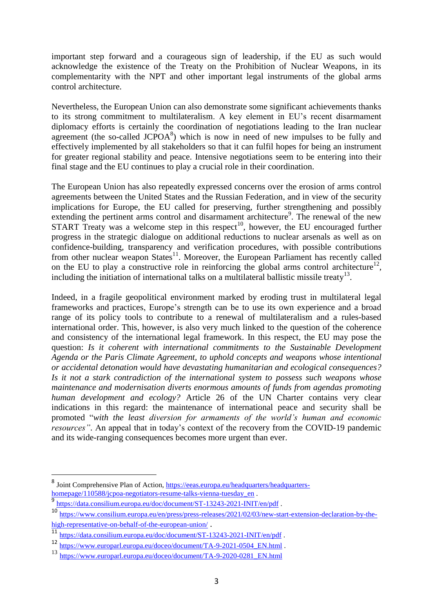important step forward and a courageous sign of leadership, if the EU as such would acknowledge the existence of the Treaty on the Prohibition of Nuclear Weapons, in its complementarity with the NPT and other important legal instruments of the global arms control architecture.

Nevertheless, the European Union can also demonstrate some significant achievements thanks to its strong commitment to multilateralism. A key element in EU's recent disarmament diplomacy efforts is certainly the coordination of negotiations leading to the Iran nuclear agreement (the so-called JCPOA $<sup>8</sup>$ ) which is now in need of new impulses to be fully and</sup> effectively implemented by all stakeholders so that it can fulfil hopes for being an instrument for greater regional stability and peace. Intensive negotiations seem to be entering into their final stage and the EU continues to play a crucial role in their coordination.

The European Union has also repeatedly expressed concerns over the erosion of arms control agreements between the United States and the Russian Federation, and in view of the security implications for Europe, the EU called for preserving, further strengthening and possibly extending the pertinent arms control and disarmament architecture<sup>9</sup>. The renewal of the new START Treaty was a welcome step in this respect<sup>10</sup>, however, the EU encouraged further progress in the strategic dialogue on additional reductions to nuclear arsenals as well as on confidence-building, transparency and verification procedures, with possible contributions from other nuclear weapon States<sup>11</sup>. Moreover, the European Parliament has recently called on the EU to play a constructive role in reinforcing the global arms control architecture<sup>12</sup>, including the initiation of international talks on a multilateral ballistic missile treaty<sup>13</sup>.

Indeed, in a fragile geopolitical environment marked by eroding trust in multilateral legal frameworks and practices, Europe's strength can be to use its own experience and a broad range of its policy tools to contribute to a renewal of multilateralism and a rules-based international order. This, however, is also very much linked to the question of the coherence and consistency of the international legal framework. In this respect, the EU may pose the question: *Is it coherent with international commitments to the Sustainable Development Agenda or the Paris Climate Agreement, to uphold concepts and weapons whose intentional or accidental detonation would have devastating humanitarian and ecological consequences? Is it not a stark contradiction of the international system to possess such weapons whose maintenance and modernisation diverts enormous amounts of funds from agendas promoting human development and ecology?* Article 26 of the UN Charter contains very clear indications in this regard: the maintenance of international peace and security shall be promoted "*with the least diversion for armaments of the world's human and economic resources"*. An appeal that in today's context of the recovery from the COVID-19 pandemic and its wide-ranging consequences becomes more urgent than ever.

 $\overline{a}$ 

<sup>&</sup>lt;sup>8</sup> Joint Comprehensive Plan of Action, [https://eeas.europa.eu/headquarters/headquarters](https://eeas.europa.eu/headquarters/headquarters-homepage/110588/jcpoa-negotiators-resume-talks-vienna-tuesday_en)homepage/110588/jcpoa-negotiators-resume-talks-vienna-tuesday en. 9

<https://data.consilium.europa.eu/doc/document/ST-13243-2021-INIT/en/pdf> .

<sup>10</sup> [https://www.consilium.europa.eu/en/press/press-releases/2021/02/03/new-start-extension-declaration-by-the](https://www.consilium.europa.eu/en/press/press-releases/2021/02/03/new-start-extension-declaration-by-the-high-representative-on-behalf-of-the-european-union/)[high-representative-on-behalf-of-the-european-union/](https://www.consilium.europa.eu/en/press/press-releases/2021/02/03/new-start-extension-declaration-by-the-high-representative-on-behalf-of-the-european-union/).

<sup>11</sup> <https://data.consilium.europa.eu/doc/document/ST-13243-2021-INIT/en/pdf> .

<sup>12</sup> [https://www.europarl.europa.eu/doceo/document/TA-9-2021-0504\\_EN.html](https://www.europarl.europa.eu/doceo/document/TA-9-2021-0504_EN.html) .<br>13 https://www.europarl.europa.eu/doceo/document/TA-9-2021-0504\_EN.html

<sup>13</sup> [https://www.europarl.europa.eu/doceo/document/TA-9-2020-0281\\_EN.html](https://www.europarl.europa.eu/doceo/document/TA-9-2020-0281_EN.html)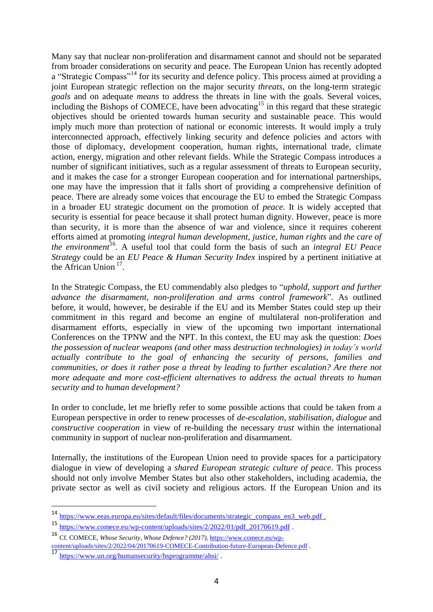Many say that nuclear non-proliferation and disarmament cannot and should not be separated from broader considerations on security and peace. The European Union has recently adopted a "Strategic Compass"<sup>14</sup> for its security and defence policy. This process aimed at providing a joint European strategic reflection on the major security *threats*, on the long-term strategic *goals* and on adequate *means* to address the threats in line with the goals. Several voices, including the Bishops of COMECE, have been advocating<sup>15</sup> in this regard that these strategic objectives should be oriented towards human security and sustainable peace. This would imply much more than protection of national or economic interests. It would imply a truly interconnected approach, effectively linking security and defence policies and actors with those of diplomacy, development cooperation, human rights, international trade, climate action, energy, migration and other relevant fields. While the Strategic Compass introduces a number of significant initiatives, such as a regular assessment of threats to European security, and it makes the case for a stronger European cooperation and for international partnerships, one may have the impression that it falls short of providing a comprehensive definition of peace. There are already some voices that encourage the EU to embed the Strategic Compass in a broader EU strategic document on the promotion of *peace*. It is widely accepted that security is essential for peace because it shall protect human dignity. However, peace is more than security, it is more than the absence of war and violence, since it requires coherent efforts aimed at promoting *integral human development*, *justice*, *human rights* and *the care of the environment*<sup>16</sup>. A useful tool that could form the basis of such an *integral EU Peace Strategy* could be an *EU Peace & Human Security Index* inspired by a pertinent initiative at the African Union  $17$ .

In the Strategic Compass, the EU commendably also pledges to "*uphold, support and further advance the disarmament, non-proliferation and arms control framework*". As outlined before, it would, however, be desirable if the EU and its Member States could step up their commitment in this regard and become an engine of multilateral non-proliferation and disarmament efforts, especially in view of the upcoming two important international Conferences on the TPNW and the NPT. In this context, the EU may ask the question: *Does the possession of nuclear weapons (and other mass destruction technologies) in today's world actually contribute to the goal of enhancing the security of persons, families and communities, or does it rather pose a threat by leading to further escalation? Are there not more adequate and more cost-efficient alternatives to address the actual threats to human security and to human development?*

In order to conclude, let me briefly refer to some possible actions that could be taken from a European perspective in order to renew processes of *de-escalation*, *stabilisation*, *dialogue* and *constructive cooperation* in view of re-building the necessary *trust* within the international community in support of nuclear non-proliferation and disarmament.

Internally, the institutions of the European Union need to provide spaces for a participatory dialogue in view of developing a *shared European strategic culture of peace*. This process should not only involve Member States but also other stakeholders, including academia, the private sector as well as civil society and religious actors. If the European Union and its

 $\overline{a}$ 

<sup>14</sup> [https://www.eeas.europa.eu/sites/default/files/documents/strategic\\_compass\\_en3\\_web.pdf](https://www.eeas.europa.eu/sites/default/files/documents/strategic_compass_en3_web.pdf) .

<sup>15</sup> [https://www.comece.eu/wp-content/uploads/sites/2/2022/01/pdf\\_20170619.pdf](https://www.comece.eu/wp-content/uploads/sites/2/2022/01/pdf_20170619.pdf) .

<sup>16</sup> Cf. COMECE, *Whose Security, Whose Defence? (2017),* [https://www.comece.eu/wp](https://www.comece.eu/wp-content/uploads/sites/2/2022/04/20170619-COMECE-Contribution-future-European-Defence.pdf)[content/uploads/sites/2/2022/04/20170619-COMECE-Contribution-future-European-Defence.pdf](https://www.comece.eu/wp-content/uploads/sites/2/2022/04/20170619-COMECE-Contribution-future-European-Defence.pdf) .

<sup>17</sup> <https://www.un.org/humansecurity/hsprogramme/ahsi/> .